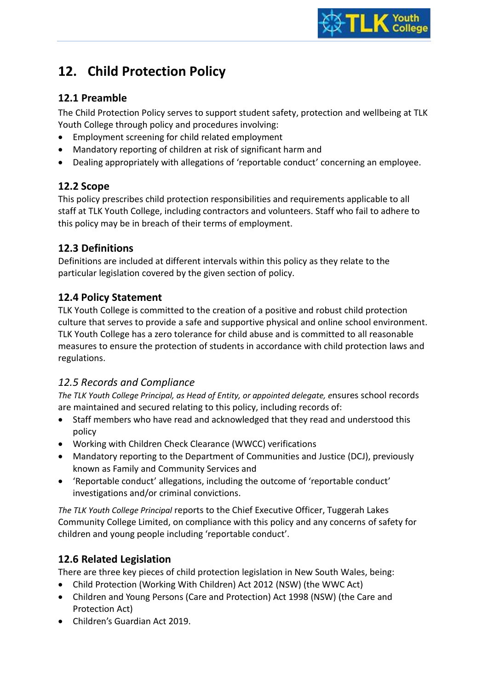# **12. Child Protection Policy**

## **12.1 Preamble**

The Child Protection Policy serves to support student safety, protection and wellbeing at TLK Youth College through policy and procedures involving:

- Employment screening for child related employment
- Mandatory reporting of children at risk of significant harm and
- Dealing appropriately with allegations of 'reportable conduct' concerning an employee.

## **12.2 Scope**

This policy prescribes child protection responsibilities and requirements applicable to all staff at TLK Youth College, including contractors and volunteers. Staff who fail to adhere to this policy may be in breach of their terms of employment.

## **12.3 Definitions**

Definitions are included at different intervals within this policy as they relate to the particular legislation covered by the given section of policy.

## **12.4 Policy Statement**

TLK Youth College is committed to the creation of a positive and robust child protection culture that serves to provide a safe and supportive physical and online school environment. TLK Youth College has a zero tolerance for child abuse and is committed to all reasonable measures to ensure the protection of students in accordance with child protection laws and regulations.

## *12.5 Records and Compliance*

*The TLK Youth College Principal, as Head of Entity, or appointed delegate, e*nsures school records are maintained and secured relating to this policy, including records of:

- Staff members who have read and acknowledged that they read and understood this policy
- Working with Children Check Clearance (WWCC) verifications
- Mandatory reporting to the Department of Communities and Justice (DCJ), previously known as Family and Community Services and
- 'Reportable conduct' allegations, including the outcome of 'reportable conduct' investigations and/or criminal convictions.

*The TLK Youth College Principal* reports to the Chief Executive Officer, Tuggerah Lakes Community College Limited, on compliance with this policy and any concerns of safety for children and young people including 'reportable conduct'.

## **12.6 Related Legislation**

There are three key pieces of child protection legislation in New South Wales, being:

- Child Protection (Working With Children) Act 2012 (NSW) (the WWC Act)
- Children and Young Persons (Care and Protection) Act 1998 (NSW) (the Care and Protection Act)
- Children's Guardian Act 2019.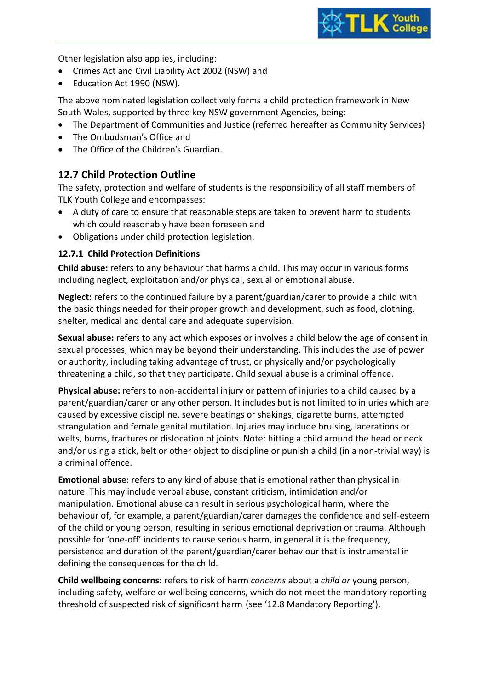

Other legislation also applies, including:

- Crimes Act and Civil Liability Act 2002 (NSW) and
- Education Act 1990 (NSW).

The above nominated legislation collectively forms a child protection framework in New South Wales, supported by three key NSW government Agencies, being:

- The Department of Communities and Justice (referred hereafter as Community Services)
- The Ombudsman's Office and
- The Office of the Children's Guardian.

## **12.7 Child Protection Outline**

The safety, protection and welfare of students is the responsibility of all staff members of TLK Youth College and encompasses:

- A duty of care to ensure that reasonable steps are taken to prevent harm to students which could reasonably have been foreseen and
- Obligations under child protection legislation.

## **12.7.1 Child Protection Definitions**

**Child abuse:** refers to any behaviour that harms a child. This may occur in various forms including neglect, exploitation and/or physical, sexual or emotional abuse.

**Neglect:** refers to the continued failure by a parent/guardian/carer to provide a child with the basic things needed for their proper growth and development, such as food, clothing, shelter, medical and dental care and adequate supervision.

**Sexual abuse:** refers to any act which exposes or involves a child below the age of consent in sexual processes, which may be beyond their understanding. This includes the use of power or authority, including taking advantage of trust, or physically and/or psychologically threatening a child, so that they participate. Child sexual abuse is a criminal offence.

**Physical abuse:** refers to non-accidental injury or pattern of injuries to a child caused by a parent/guardian/carer or any other person. It includes but is not limited to injuries which are caused by excessive discipline, severe beatings or shakings, cigarette burns, attempted strangulation and female genital mutilation. Injuries may include bruising, lacerations or welts, burns, fractures or dislocation of joints. Note: hitting a child around the head or neck and/or using a stick, belt or other object to discipline or punish a child (in a non-trivial way) is a criminal offence.

**Emotional abuse**: refers to any kind of abuse that is emotional rather than physical in nature. This may include verbal abuse, constant criticism, intimidation and/or manipulation. Emotional abuse can result in serious psychological harm, where the behaviour of, for example, a parent/guardian/carer damages the confidence and self-esteem of the child or young person, resulting in serious emotional deprivation or trauma. Although possible for 'one-off' incidents to cause serious harm, in general it is the frequency, persistence and duration of the parent/guardian/carer behaviour that is instrumental in defining the consequences for the child.

**Child wellbeing concerns:** refers to risk of harm *concerns* about a *child or* young person, including safety, welfare or wellbeing concerns, which do not meet the mandatory reporting threshold of suspected risk of significant harm (see '12.8 Mandatory Reporting').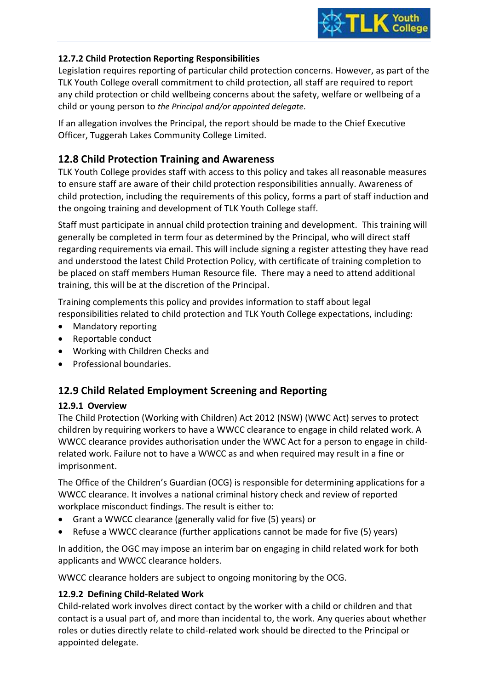

## **12.7.2 Child Protection Reporting Responsibilities**

Legislation requires reporting of particular child protection concerns. However, as part of the TLK Youth College overall commitment to child protection, all staff are required to report any child protection or child wellbeing concerns about the safety, welfare or wellbeing of a child or young person to *the Principal and/or appointed delegate.* 

If an allegation involves the Principal, the report should be made to the Chief Executive Officer, Tuggerah Lakes Community College Limited.

## **12.8 Child Protection Training and Awareness**

TLK Youth College provides staff with access to this policy and takes all reasonable measures to ensure staff are aware of their child protection responsibilities annually. Awareness of child protection, including the requirements of this policy, forms a part of staff induction and the ongoing training and development of TLK Youth College staff.

Staff must participate in annual child protection training and development. This training will generally be completed in term four as determined by the Principal, who will direct staff regarding requirements via email. This will include signing a register attesting they have read and understood the latest Child Protection Policy, with certificate of training completion to be placed on staff members Human Resource file. There may a need to attend additional training, this will be at the discretion of the Principal.

Training complements this policy and provides information to staff about legal responsibilities related to child protection and TLK Youth College expectations, including:

- Mandatory reporting
- Reportable conduct
- Working with Children Checks and
- Professional boundaries.

## **12.9 Child Related Employment Screening and Reporting**

## **12.9.1 Overview**

The Child Protection (Working with Children) Act 2012 (NSW) (WWC Act) serves to protect children by requiring workers to have a WWCC clearance to engage in child related work. A WWCC clearance provides authorisation under the WWC Act for a person to engage in childrelated work. Failure not to have a WWCC as and when required may result in a fine or imprisonment.

The Office of the Children's Guardian (OCG) is responsible for determining applications for a WWCC clearance. It involves a national criminal history check and review of reported workplace misconduct findings. The result is either to:

- Grant a WWCC clearance (generally valid for five (5) years) or
- Refuse a WWCC clearance (further applications cannot be made for five (5) years)

In addition, the OGC may impose an interim bar on engaging in child related work for both applicants and WWCC clearance holders.

WWCC clearance holders are subject to ongoing monitoring by the OCG.

## **12.9.2 Defining Child-Related Work**

Child-related work involves direct contact by the worker with a child or children and that contact is a usual part of, and more than incidental to, the work. Any queries about whether roles or duties directly relate to child-related work should be directed to the Principal or appointed delegate.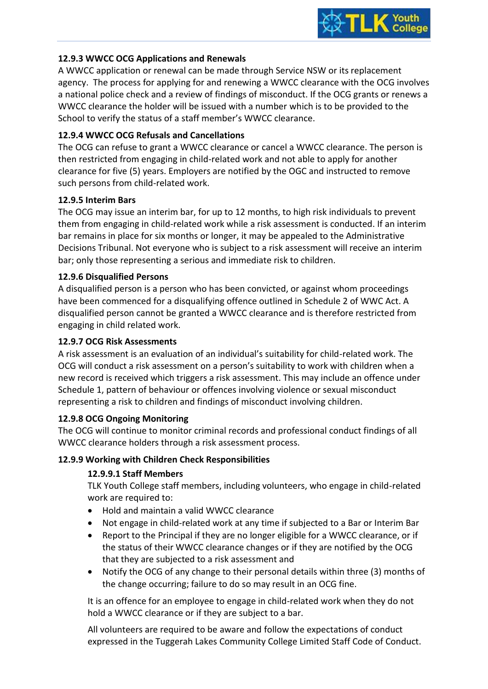

#### **12.9.3 WWCC OCG Applications and Renewals**

A WWCC application or renewal can be made through Service NSW or its replacement agency. The process for applying for and renewing a WWCC clearance with the OCG involves a national police check and a review of findings of misconduct. If the OCG grants or renews a WWCC clearance the holder will be issued with a number which is to be provided to the School to verify the status of a staff member's WWCC clearance.

#### **12.9.4 WWCC OCG Refusals and Cancellations**

The OCG can refuse to grant a WWCC clearance or cancel a WWCC clearance. The person is then restricted from engaging in child-related work and not able to apply for another clearance for five (5) years. Employers are notified by the OGC and instructed to remove such persons from child-related work.

#### **12.9.5 Interim Bars**

The OCG may issue an interim bar, for up to 12 months, to high risk individuals to prevent them from engaging in child-related work while a risk assessment is conducted. If an interim bar remains in place for six months or longer, it may be appealed to the Administrative Decisions Tribunal. Not everyone who is subject to a risk assessment will receive an interim bar; only those representing a serious and immediate risk to children.

#### **12.9.6 Disqualified Persons**

A disqualified person is a person who has been convicted, or against whom proceedings have been commenced for a disqualifying offence outlined in Schedule 2 of WWC Act. A disqualified person cannot be granted a WWCC clearance and is therefore restricted from engaging in child related work.

#### **12.9.7 OCG Risk Assessments**

A risk assessment is an evaluation of an individual's suitability for child-related work. The OCG will conduct a risk assessment on a person's suitability to work with children when a new record is received which triggers a risk assessment. This may include an offence under Schedule 1, pattern of behaviour or offences involving violence or sexual misconduct representing a risk to children and findings of misconduct involving children.

#### **12.9.8 OCG Ongoing Monitoring**

The OCG will continue to monitor criminal records and professional conduct findings of all WWCC clearance holders through a risk assessment process.

#### **12.9.9 Working with Children Check Responsibilities**

## **12.9.9.1 Staff Members**

TLK Youth College staff members, including volunteers, who engage in child-related work are required to:

- Hold and maintain a valid WWCC clearance
- Not engage in child-related work at any time if subjected to a Bar or Interim Bar
- Report to the Principal if they are no longer eligible for a WWCC clearance, or if the status of their WWCC clearance changes or if they are notified by the OCG that they are subjected to a risk assessment and
- Notify the OCG of any change to their personal details within three (3) months of the change occurring; failure to do so may result in an OCG fine.

It is an offence for an employee to engage in child-related work when they do not hold a WWCC clearance or if they are subject to a bar.

All volunteers are required to be aware and follow the expectations of conduct expressed in the Tuggerah Lakes Community College Limited Staff Code of Conduct.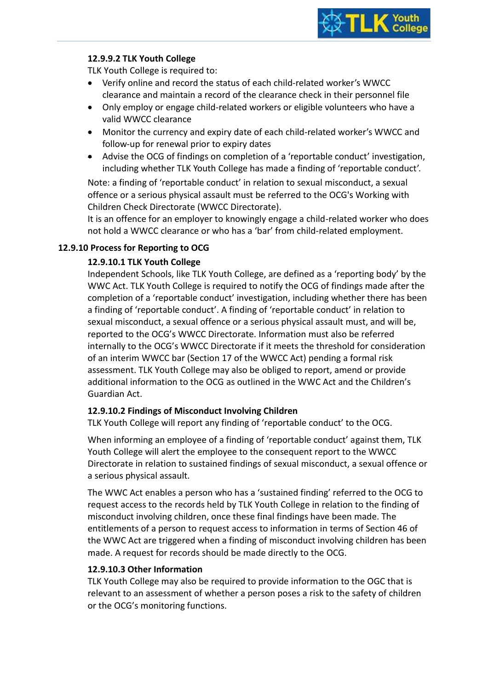

## **12.9.9.2 TLK Youth College**

TLK Youth College is required to:

- Verify online and record the status of each child-related worker's WWCC clearance and maintain a record of the clearance check in their personnel file
- Only employ or engage child-related workers or eligible volunteers who have a valid WWCC clearance
- Monitor the currency and expiry date of each child-related worker's WWCC and follow-up for renewal prior to expiry dates
- Advise the OCG of findings on completion of a 'reportable conduct' investigation, including whether TLK Youth College has made a finding of 'reportable conduct'.

Note: a finding of 'reportable conduct' in relation to sexual misconduct, a sexual offence or a serious physical assault must be referred to the OCG's Working with Children Check Directorate (WWCC Directorate).

It is an offence for an employer to knowingly engage a child-related worker who does not hold a WWCC clearance or who has a 'bar' from child-related employment.

#### **12.9.10 Process for Reporting to OCG**

#### **12.9.10.1 TLK Youth College**

Independent Schools, like TLK Youth College, are defined as a 'reporting body' by the WWC Act. TLK Youth College is required to notify the OCG of findings made after the completion of a 'reportable conduct' investigation, including whether there has been a finding of 'reportable conduct'. A finding of 'reportable conduct' in relation to sexual misconduct, a sexual offence or a serious physical assault must, and will be, reported to the OCG's WWCC Directorate. Information must also be referred internally to the OCG's WWCC Directorate if it meets the threshold for consideration of an interim WWCC bar (Section 17 of the WWCC Act) pending a formal risk assessment. TLK Youth College may also be obliged to report, amend or provide additional information to the OCG as outlined in the WWC Act and the Children's Guardian Act.

#### **12.9.10.2 Findings of Misconduct Involving Children**

TLK Youth College will report any finding of 'reportable conduct' to the OCG.

When informing an employee of a finding of 'reportable conduct' against them, TLK Youth College will alert the employee to the consequent report to the WWCC Directorate in relation to sustained findings of sexual misconduct, a sexual offence or a serious physical assault.

The WWC Act enables a person who has a 'sustained finding' referred to the OCG to request access to the records held by TLK Youth College in relation to the finding of misconduct involving children, once these final findings have been made. The entitlements of a person to request access to information in terms of Section 46 of the WWC Act are triggered when a finding of misconduct involving children has been made. A request for records should be made directly to the OCG.

#### **12.9.10.3 Other Information**

TLK Youth College may also be required to provide information to the OGC that is relevant to an assessment of whether a person poses a risk to the safety of children or the OCG's monitoring functions.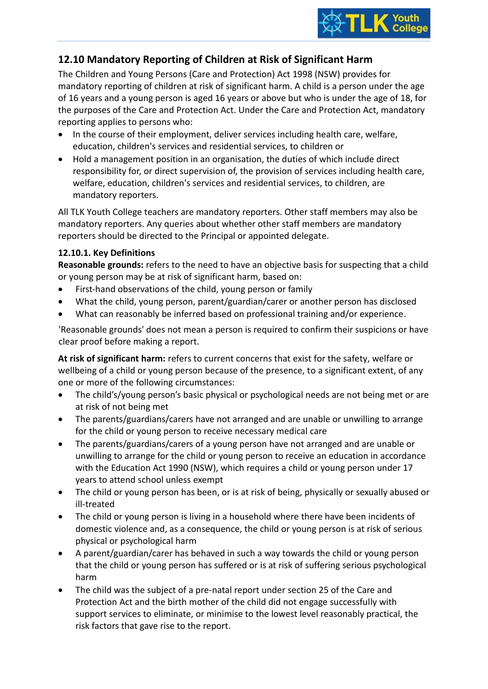

## **12.10 Mandatory Reporting of Children at Risk of Significant Harm**

The Children and Young Persons (Care and Protection) Act 1998 (NSW) provides for mandatory reporting of children at risk of significant harm. A child is a person under the age of 16 years and a young person is aged 16 years or above but who is under the age of 18, for the purposes of the Care and Protection Act. Under the Care and Protection Act, mandatory reporting applies to persons who:

- In the course of their employment, deliver services including health care, welfare, education, children's services and residential services, to children or
- Hold a management position in an organisation, the duties of which include direct responsibility for, or direct supervision of, the provision of services including health care, welfare, education, children's services and residential services, to children, are mandatory reporters.

All TLK Youth College teachers are mandatory reporters. Other staff members may also be mandatory reporters. Any queries about whether other staff members are mandatory reporters should be directed to the Principal or appointed delegate.

## **12.10.1. Key Definitions**

**Reasonable grounds:** refers to the need to have an objective basis for suspecting that a child or young person may be at risk of significant harm, based on:

- First-hand observations of the child, young person or family
- What the child, young person, parent/guardian/carer or another person has disclosed
- What can reasonably be inferred based on professional training and/or experience.

'Reasonable grounds' does not mean a person is required to confirm their suspicions or have clear proof before making a report.

**At risk of significant harm:** refers to current concerns that exist for the safety, welfare or wellbeing of a child or young person because of the presence, to a significant extent, of any one or more of the following circumstances:

- The child's/young person's basic physical or psychological needs are not being met or are at risk of not being met
- The parents/guardians/carers have not arranged and are unable or unwilling to arrange for the child or young person to receive necessary medical care
- The parents/guardians/carers of a young person have not arranged and are unable or unwilling to arrange for the child or young person to receive an education in accordance with the Education Act 1990 (NSW), which requires a child or young person under 17 years to attend school unless exempt
- The child or young person has been, or is at risk of being, physically or sexually abused or ill-treated
- The child or young person is living in a household where there have been incidents of domestic violence and, as a consequence, the child or young person is at risk of serious physical or psychological harm
- A parent/guardian/carer has behaved in such a way towards the child or young person that the child or young person has suffered or is at risk of suffering serious psychological harm
- The child was the subject of a pre-natal report under section 25 of the Care and Protection Act and the birth mother of the child did not engage successfully with support services to eliminate, or minimise to the lowest level reasonably practical, the risk factors that gave rise to the report.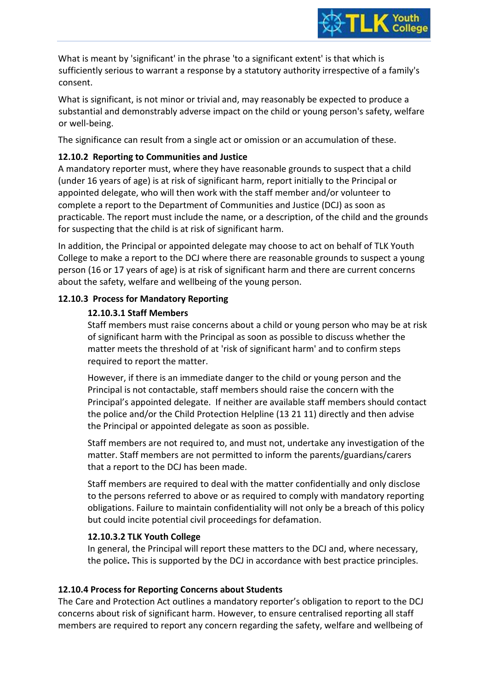

What is meant by 'significant' in the phrase 'to a significant extent' is that which is sufficiently serious to warrant a response by a statutory authority irrespective of a family's consent.

What is significant, is not minor or trivial and, may reasonably be expected to produce a substantial and demonstrably adverse impact on the child or young person's safety, welfare or well-being.

The significance can result from a single act or omission or an accumulation of these.

## **12.10.2 Reporting to Communities and Justice**

A mandatory reporter must, where they have reasonable grounds to suspect that a child (under 16 years of age) is at risk of significant harm, report initially to the Principal or appointed delegate, who will then work with the staff member and/or volunteer to complete a report to the Department of Communities and Justice (DCJ) as soon as practicable. The report must include the name, or a description, of the child and the grounds for suspecting that the child is at risk of significant harm.

In addition, the Principal or appointed delegate may choose to act on behalf of TLK Youth College to make a report to the DCJ where there are reasonable grounds to suspect a young person (16 or 17 years of age) is at risk of significant harm and there are current concerns about the safety, welfare and wellbeing of the young person.

## **12.10.3 Process for Mandatory Reporting**

#### **12.10.3.1 Staff Members**

Staff members must raise concerns about a child or young person who may be at risk of significant harm with the Principal as soon as possible to discuss whether the matter meets the threshold of at 'risk of significant harm' and to confirm steps required to report the matter.

However, if there is an immediate danger to the child or young person and the Principal is not contactable, staff members should raise the concern with the Principal's appointed delegate. If neither are available staff members should contact the police and/or the Child Protection Helpline (13 21 11) directly and then advise the Principal or appointed delegate as soon as possible.

Staff members are not required to, and must not, undertake any investigation of the matter. Staff members are not permitted to inform the parents/guardians/carers that a report to the DCJ has been made.

Staff members are required to deal with the matter confidentially and only disclose to the persons referred to above or as required to comply with mandatory reporting obligations. Failure to maintain confidentiality will not only be a breach of this policy but could incite potential civil proceedings for defamation.

#### **12.10.3.2 TLK Youth College**

In general, the Principal will report these matters to the DCJ and, where necessary, the police**.** This is supported by the DCJ in accordance with best practice principles.

## **12.10.4 Process for Reporting Concerns about Students**

The Care and Protection Act outlines a mandatory reporter's obligation to report to the DCJ concerns about risk of significant harm. However, to ensure centralised reporting all staff members are required to report any concern regarding the safety, welfare and wellbeing of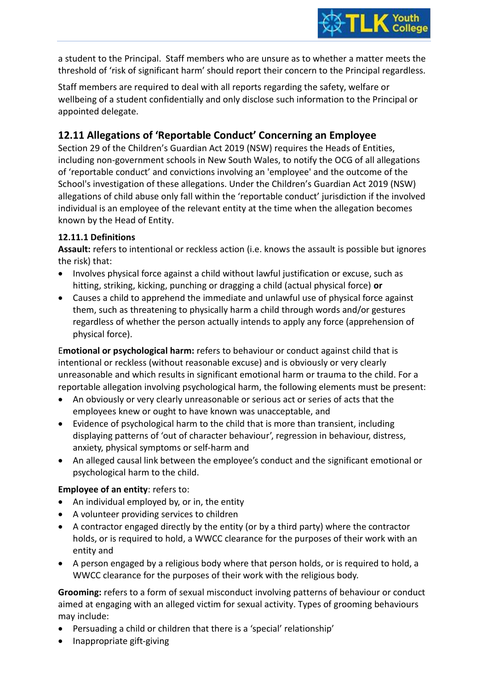

a student to the Principal. Staff members who are unsure as to whether a matter meets the threshold of 'risk of significant harm' should report their concern to the Principal regardless.

Staff members are required to deal with all reports regarding the safety, welfare or wellbeing of a student confidentially and only disclose such information to the Principal or appointed delegate.

## **12.11 Allegations of 'Reportable Conduct' Concerning an Employee**

Section 29 of the Children's Guardian Act 2019 (NSW) requires the Heads of Entities, including non-government schools in New South Wales, to notify the OCG of all allegations of 'reportable conduct' and convictions involving an 'employee' and the outcome of the School's investigation of these allegations. Under the Children's Guardian Act 2019 (NSW) allegations of child abuse only fall within the 'reportable conduct' jurisdiction if the involved individual is an employee of the relevant entity at the time when the allegation becomes known by the Head of Entity.

## **12.11.1 Definitions**

**Assault:** refers to intentional or reckless action (i.e. knows the assault is possible but ignores the risk) that:

- Involves physical force against a child without lawful justification or excuse, such as hitting, striking, kicking, punching or dragging a child (actual physical force) **or**
- Causes a child to apprehend the immediate and unlawful use of physical force against them, such as threatening to physically harm a child through words and/or gestures regardless of whether the person actually intends to apply any force (apprehension of physical force).

E**motional or psychological harm:** refers to behaviour or conduct against child that is intentional or reckless (without reasonable excuse) and is obviously or very clearly unreasonable and which results in significant emotional harm or trauma to the child. For a reportable allegation involving psychological harm, the following elements must be present:

- An obviously or very clearly unreasonable or serious act or series of acts that the employees knew or ought to have known was unacceptable, and
- Evidence of psychological harm to the child that is more than transient, including displaying patterns of 'out of character behaviour', regression in behaviour, distress, anxiety, physical symptoms or self-harm and
- An alleged causal link between the employee's conduct and the significant emotional or psychological harm to the child.

## **Employee of an entity**: refers to:

- An individual employed by, or in, the entity
- A volunteer providing services to children
- A contractor engaged directly by the entity (or by a third party) where the contractor holds, or is required to hold, a WWCC clearance for the purposes of their work with an entity and
- A person engaged by a religious body where that person holds, or is required to hold, a WWCC clearance for the purposes of their work with the religious body.

**Grooming:** refers to a form of sexual misconduct involving patterns of behaviour or conduct aimed at engaging with an alleged victim for sexual activity. Types of grooming behaviours may include:

- Persuading a child or children that there is a 'special' relationship'
- Inappropriate gift-giving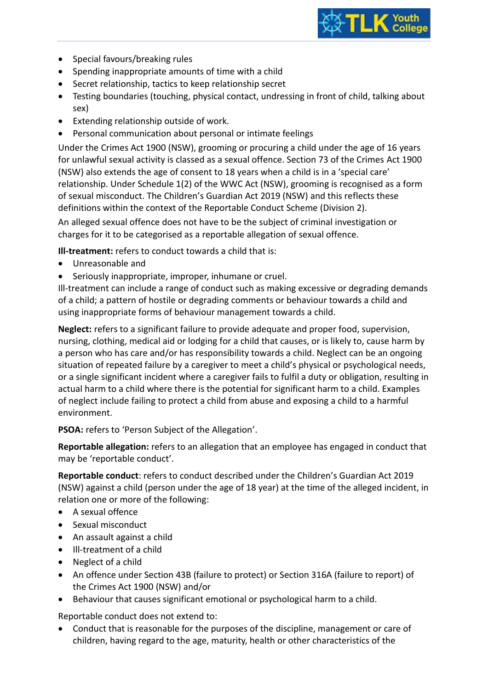

- Special favours/breaking rules
- Spending inappropriate amounts of time with a child
- Secret relationship, tactics to keep relationship secret
- Testing boundaries (touching, physical contact, undressing in front of child, talking about sex)
- Extending relationship outside of work.
- Personal communication about personal or intimate feelings

Under the Crimes Act 1900 (NSW), grooming or procuring a child under the age of 16 years for unlawful sexual activity is classed as a sexual offence. Section 73 of the Crimes Act 1900 (NSW) also extends the age of consent to 18 years when a child is in a 'special care' relationship. Under Schedule 1(2) of the WWC Act (NSW), grooming is recognised as a form of sexual misconduct. The Children's Guardian Act 2019 (NSW) and this reflects these definitions within the context of the Reportable Conduct Scheme (Division 2).

An alleged sexual offence does not have to be the subject of criminal investigation or charges for it to be categorised as a reportable allegation of sexual offence.

**Ill-treatment:** refers to conduct towards a child that is:

- Unreasonable and
- Seriously inappropriate, improper, inhumane or cruel.

Ill-treatment can include a range of conduct such as making excessive or degrading demands of a child; a pattern of hostile or degrading comments or behaviour towards a child and using inappropriate forms of behaviour management towards a child.

**Neglect:** refers to a significant failure to provide adequate and proper food, supervision, nursing, clothing, medical aid or lodging for a child that causes, or is likely to, cause harm by a person who has care and/or has responsibility towards a child. Neglect can be an ongoing situation of repeated failure by a caregiver to meet a child's physical or psychological needs, or a single significant incident where a caregiver fails to fulfil a duty or obligation, resulting in actual harm to a child where there is the potential for significant harm to a child. Examples of neglect include failing to protect a child from abuse and exposing a child to a harmful environment.

**PSOA:** refers to 'Person Subject of the Allegation'.

**Reportable allegation:** refers to an allegation that an employee has engaged in conduct that may be 'reportable conduct'.

**Reportable conduct**: refers to conduct described under the Children's Guardian Act 2019 (NSW) against a child (person under the age of 18 year) at the time of the alleged incident, in relation one or more of the following:

- A sexual offence
- Sexual misconduct
- An assault against a child
- Ill-treatment of a child
- Neglect of a child
- An offence under Section 43B (failure to protect) or Section 316A (failure to report) of the Crimes Act 1900 (NSW) and/or
- Behaviour that causes significant emotional or psychological harm to a child.

Reportable conduct does not extend to:

• Conduct that is reasonable for the purposes of the discipline, management or care of children, having regard to the age, maturity, health or other characteristics of the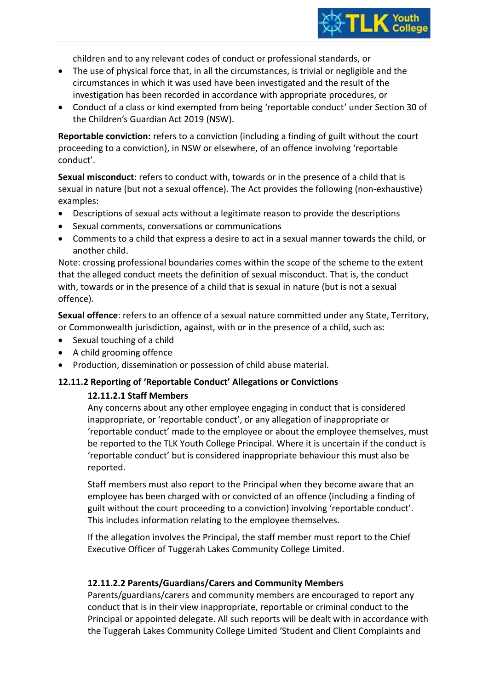

children and to any relevant codes of conduct or professional standards, or

- The use of physical force that, in all the circumstances, is trivial or negligible and the circumstances in which it was used have been investigated and the result of the investigation has been recorded in accordance with appropriate procedures, or
- Conduct of a class or kind exempted from being 'reportable conduct' under Section 30 of the Children's Guardian Act 2019 (NSW).

**Reportable conviction:** refers to a conviction (including a finding of guilt without the court proceeding to a conviction), in NSW or elsewhere, of an offence involving 'reportable conduct'.

**Sexual misconduct**: refers to conduct with, towards or in the presence of a child that is sexual in nature (but not a sexual offence). The Act provides the following (non-exhaustive) examples:

- Descriptions of sexual acts without a legitimate reason to provide the descriptions
- Sexual comments, conversations or communications
- Comments to a child that express a desire to act in a sexual manner towards the child, or another child.

Note: crossing professional boundaries comes within the scope of the scheme to the extent that the alleged conduct meets the definition of sexual misconduct. That is, the conduct with, towards or in the presence of a child that is sexual in nature (but is not a sexual offence).

**Sexual offence**: refers to an offence of a sexual nature committed under any State, Territory, or Commonwealth jurisdiction, against, with or in the presence of a child, such as:

- Sexual touching of a child
- A child grooming offence
- Production, dissemination or possession of child abuse material.

#### **12.11.2 Reporting of 'Reportable Conduct' Allegations or Convictions**

#### **12.11.2.1 Staff Members**

Any concerns about any other employee engaging in conduct that is considered inappropriate, or 'reportable conduct', or any allegation of inappropriate or 'reportable conduct' made to the employee or about the employee themselves, must be reported to the TLK Youth College Principal. Where it is uncertain if the conduct is 'reportable conduct' but is considered inappropriate behaviour this must also be reported.

Staff members must also report to the Principal when they become aware that an employee has been charged with or convicted of an offence (including a finding of guilt without the court proceeding to a conviction) involving 'reportable conduct'. This includes information relating to the employee themselves.

If the allegation involves the Principal, the staff member must report to the Chief Executive Officer of Tuggerah Lakes Community College Limited.

#### **12.11.2.2 Parents/Guardians/Carers and Community Members**

Parents/guardians/carers and community members are encouraged to report any conduct that is in their view inappropriate, reportable or criminal conduct to the Principal or appointed delegate. All such reports will be dealt with in accordance with the Tuggerah Lakes Community College Limited 'Student and Client Complaints and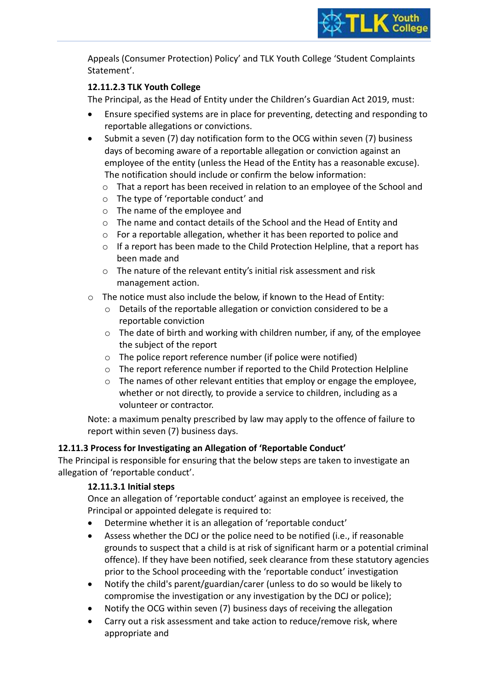

Appeals (Consumer Protection) Policy' and TLK Youth College 'Student Complaints Statement'.

## **12.11.2.3 TLK Youth College**

The Principal, as the Head of Entity under the Children's Guardian Act 2019, must:

- Ensure specified systems are in place for preventing, detecting and responding to reportable allegations or convictions.
- Submit a seven (7) day notification form to the OCG within seven (7) business days of becoming aware of a reportable allegation or conviction against an employee of the entity (unless the Head of the Entity has a reasonable excuse). The notification should include or confirm the below information:
	- o That a report has been received in relation to an employee of the School and
	- o The type of 'reportable conduct' and
	- o The name of the employee and
	- o The name and contact details of the School and the Head of Entity and
	- o For a reportable allegation, whether it has been reported to police and
	- $\circ$  If a report has been made to the Child Protection Helpline, that a report has been made and
	- o The nature of the relevant entity's initial risk assessment and risk management action.
- o The notice must also include the below, if known to the Head of Entity:
	- o Details of the reportable allegation or conviction considered to be a reportable conviction
	- $\circ$  The date of birth and working with children number, if any, of the employee the subject of the report
	- o The police report reference number (if police were notified)
	- $\circ$  The report reference number if reported to the Child Protection Helpline
	- $\circ$  The names of other relevant entities that employ or engage the employee, whether or not directly, to provide a service to children, including as a volunteer or contractor.

Note: a maximum penalty prescribed by law may apply to the offence of failure to report within seven (7) business days.

## **12.11.3 Process for Investigating an Allegation of 'Reportable Conduct'**

The Principal is responsible for ensuring that the below steps are taken to investigate an allegation of 'reportable conduct'.

## **12.11.3.1 Initial steps**

Once an allegation of 'reportable conduct' against an employee is received, the Principal or appointed delegate is required to:

- Determine whether it is an allegation of 'reportable conduct'
- Assess whether the DCJ or the police need to be notified (i.e., if reasonable grounds to suspect that a child is at risk of significant harm or a potential criminal offence). If they have been notified, seek clearance from these statutory agencies prior to the School proceeding with the 'reportable conduct' investigation
- Notify the child's parent/guardian/carer (unless to do so would be likely to compromise the investigation or any investigation by the DCJ or police);
- Notify the OCG within seven (7) business days of receiving the allegation
- Carry out a risk assessment and take action to reduce/remove risk, where appropriate and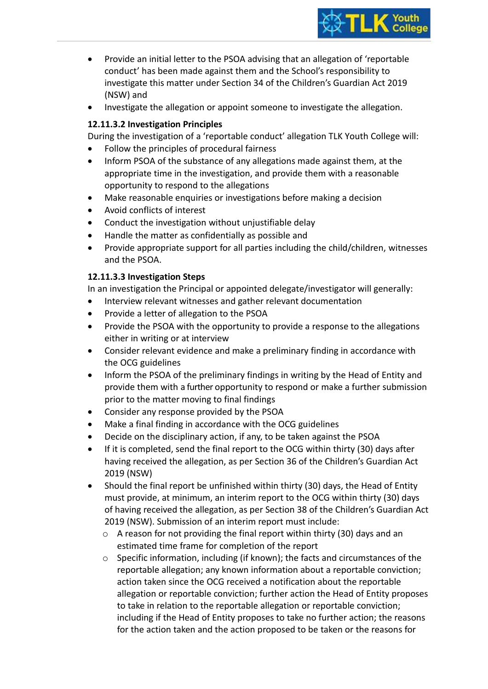

- Provide an initial letter to the PSOA advising that an allegation of 'reportable conduct' has been made against them and the School's responsibility to investigate this matter under Section 34 of the Children's Guardian Act 2019 (NSW) and
- Investigate the allegation or appoint someone to investigate the allegation.

## **12.11.3.2 Investigation Principles**

During the investigation of a 'reportable conduct' allegation TLK Youth College will:

- Follow the principles of procedural fairness
- Inform PSOA of the substance of any allegations made against them, at the appropriate time in the investigation, and provide them with a reasonable opportunity to respond to the allegations
- Make reasonable enquiries or investigations before making a decision
- Avoid conflicts of interest
- Conduct the investigation without unjustifiable delay
- Handle the matter as confidentially as possible and
- Provide appropriate support for all parties including the child/children, witnesses and the PSOA.

#### **12.11.3.3 Investigation Steps**

In an investigation the Principal or appointed delegate/investigator will generally:

- Interview relevant witnesses and gather relevant documentation
- Provide a letter of allegation to the PSOA
- Provide the PSOA with the opportunity to provide a response to the allegations either in writing or at interview
- Consider relevant evidence and make a preliminary finding in accordance with the OCG guidelines
- Inform the PSOA of the preliminary findings in writing by the Head of Entity and provide them with a further opportunity to respond or make a further submission prior to the matter moving to final findings
- Consider any response provided by the PSOA
- Make a final finding in accordance with the OCG guidelines
- Decide on the disciplinary action, if any, to be taken against the PSOA
- If it is completed, send the final report to the OCG within thirty (30) days after having received the allegation, as per Section 36 of the Children's Guardian Act 2019 (NSW)
- Should the final report be unfinished within thirty (30) days, the Head of Entity must provide, at minimum, an interim report to the OCG within thirty (30) days of having received the allegation, as per Section 38 of the Children's Guardian Act 2019 (NSW). Submission of an interim report must include:
	- o A reason for not providing the final report within thirty (30) days and an estimated time frame for completion of the report
	- $\circ$  Specific information, including (if known); the facts and circumstances of the reportable allegation; any known information about a reportable conviction; action taken since the OCG received a notification about the reportable allegation or reportable conviction; further action the Head of Entity proposes to take in relation to the reportable allegation or reportable conviction; including if the Head of Entity proposes to take no further action; the reasons for the action taken and the action proposed to be taken or the reasons for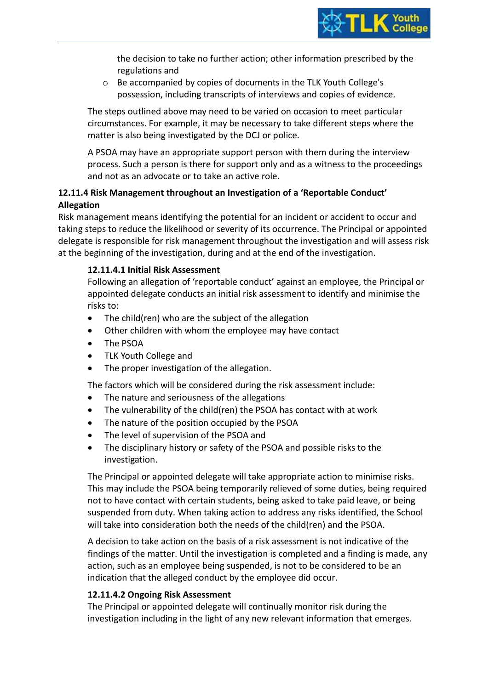the decision to take no further action; other information prescribed by the regulations and

o Be accompanied by copies of documents in the TLK Youth College's possession, including transcripts of interviews and copies of evidence.

The steps outlined above may need to be varied on occasion to meet particular circumstances. For example, it may be necessary to take different steps where the matter is also being investigated by the DCJ or police.

A PSOA may have an appropriate support person with them during the interview process. Such a person is there for support only and as a witness to the proceedings and not as an advocate or to take an active role.

## **12.11.4 Risk Management throughout an Investigation of a 'Reportable Conduct' Allegation**

Risk management means identifying the potential for an incident or accident to occur and taking steps to reduce the likelihood or severity of its occurrence. The Principal or appointed delegate is responsible for risk management throughout the investigation and will assess risk at the beginning of the investigation, during and at the end of the investigation.

## **12.11.4.1 Initial Risk Assessment**

Following an allegation of 'reportable conduct' against an employee, the Principal or appointed delegate conducts an initial risk assessment to identify and minimise the risks to:

- The child(ren) who are the subject of the allegation
- Other children with whom the employee may have contact
- The PSOA
- TLK Youth College and
- The proper investigation of the allegation.

The factors which will be considered during the risk assessment include:

- The nature and seriousness of the allegations
- The vulnerability of the child(ren) the PSOA has contact with at work
- The nature of the position occupied by the PSOA
- The level of supervision of the PSOA and
- The disciplinary history or safety of the PSOA and possible risks to the investigation.

The Principal or appointed delegate will take appropriate action to minimise risks. This may include the PSOA being temporarily relieved of some duties, being required not to have contact with certain students, being asked to take paid leave, or being suspended from duty. When taking action to address any risks identified, the School will take into consideration both the needs of the child(ren) and the PSOA.

A decision to take action on the basis of a risk assessment is not indicative of the findings of the matter. Until the investigation is completed and a finding is made, any action, such as an employee being suspended, is not to be considered to be an indication that the alleged conduct by the employee did occur.

## **12.11.4.2 Ongoing Risk Assessment**

The Principal or appointed delegate will continually monitor risk during the investigation including in the light of any new relevant information that emerges.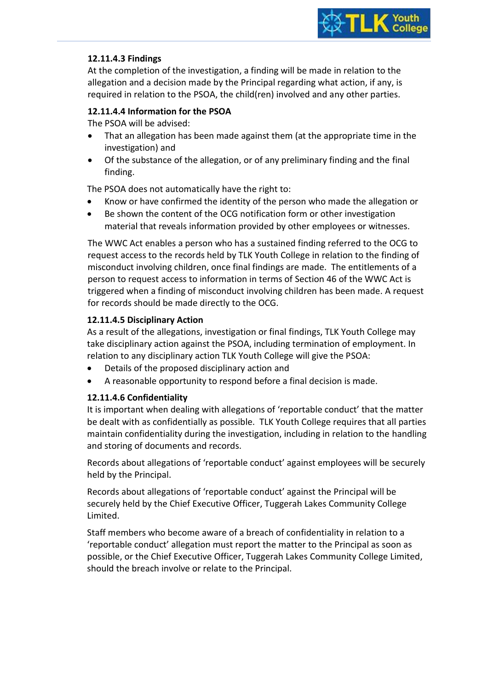

## **12.11.4.3 Findings**

At the completion of the investigation, a finding will be made in relation to the allegation and a decision made by the Principal regarding what action, if any, is required in relation to the PSOA, the child(ren) involved and any other parties.

#### **12.11.4.4 Information for the PSOA**

The PSOA will be advised:

- That an allegation has been made against them (at the appropriate time in the investigation) and
- Of the substance of the allegation, or of any preliminary finding and the final finding.

The PSOA does not automatically have the right to:

- Know or have confirmed the identity of the person who made the allegation or
- Be shown the content of the OCG notification form or other investigation material that reveals information provided by other employees or witnesses.

The WWC Act enables a person who has a sustained finding referred to the OCG to request access to the records held by TLK Youth College in relation to the finding of misconduct involving children, once final findings are made. The entitlements of a person to request access to information in terms of Section 46 of the WWC Act is triggered when a finding of misconduct involving children has been made. A request for records should be made directly to the OCG.

## **12.11.4.5 Disciplinary Action**

As a result of the allegations, investigation or final findings, TLK Youth College may take disciplinary action against the PSOA, including termination of employment. In relation to any disciplinary action TLK Youth College will give the PSOA:

- Details of the proposed disciplinary action and
- A reasonable opportunity to respond before a final decision is made.

## **12.11.4.6 Confidentiality**

It is important when dealing with allegations of 'reportable conduct' that the matter be dealt with as confidentially as possible. TLK Youth College requires that all parties maintain confidentiality during the investigation, including in relation to the handling and storing of documents and records.

Records about allegations of 'reportable conduct' against employees will be securely held by the Principal.

Records about allegations of 'reportable conduct' against the Principal will be securely held by the Chief Executive Officer, Tuggerah Lakes Community College Limited.

Staff members who become aware of a breach of confidentiality in relation to a 'reportable conduct' allegation must report the matter to the Principal as soon as possible, or the Chief Executive Officer, Tuggerah Lakes Community College Limited, should the breach involve or relate to the Principal.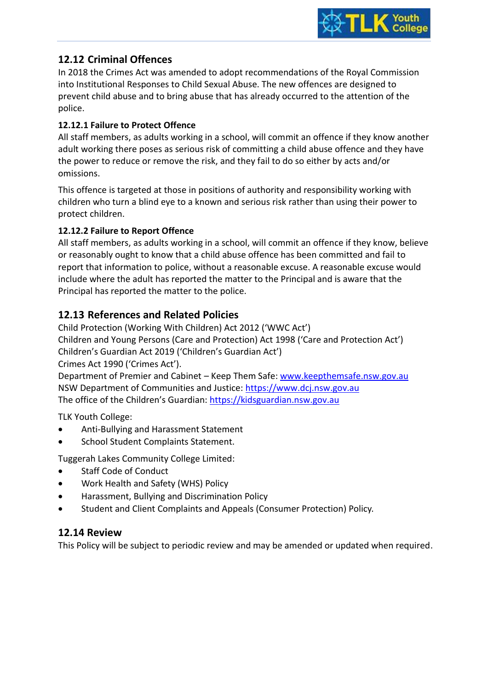

## **12.12 Criminal Offences**

In 2018 the Crimes Act was amended to adopt recommendations of the Royal Commission into Institutional Responses to Child Sexual Abuse. The new offences are designed to prevent child abuse and to bring abuse that has already occurred to the attention of the police.

## **12.12.1 Failure to Protect Offence**

All staff members, as adults working in a school, will commit an offence if they know another adult working there poses as serious risk of committing a child abuse offence and they have the power to reduce or remove the risk, and they fail to do so either by acts and/or omissions.

This offence is targeted at those in positions of authority and responsibility working with children who turn a blind eye to a known and serious risk rather than using their power to protect children.

## **12.12.2 Failure to Report Offence**

All staff members, as adults working in a school, will commit an offence if they know, believe or reasonably ought to know that a child abuse offence has been committed and fail to report that information to police, without a reasonable excuse. A reasonable excuse would include where the adult has reported the matter to the Principal and is aware that the Principal has reported the matter to the police.

## **12.13 References and Related Policies**

Child Protection (Working With Children) Act 2012 ('WWC Act') Children and Young Persons (Care and Protection) Act 1998 ('Care and Protection Act') Children's Guardian Act 2019 ('Children's Guardian Act') Crimes Act 1990 ('Crimes Act').

Department of Premier and Cabinet – Keep Them Safe: [www.keepthemsafe.nsw.gov.au](http://www.keepthemsafe.nsw.gov.au/) NSW Department of Communities and Justice: [https://www.dcj.nsw.gov.au](https://www.dcj.nsw.gov.au/) The office of the Children's Guardian: [https://kidsguardian.nsw.gov.au](https://kidsguardian.nsw.gov.au/)

TLK Youth College:

- Anti-Bullying and Harassment Statement
- School Student Complaints Statement.

Tuggerah Lakes Community College Limited:

- Staff Code of Conduct
- Work Health and Safety (WHS) Policy
- Harassment, Bullying and Discrimination Policy
- Student and Client Complaints and Appeals (Consumer Protection) Policy.

## **12.14 Review**

This Policy will be subject to periodic review and may be amended or updated when required.